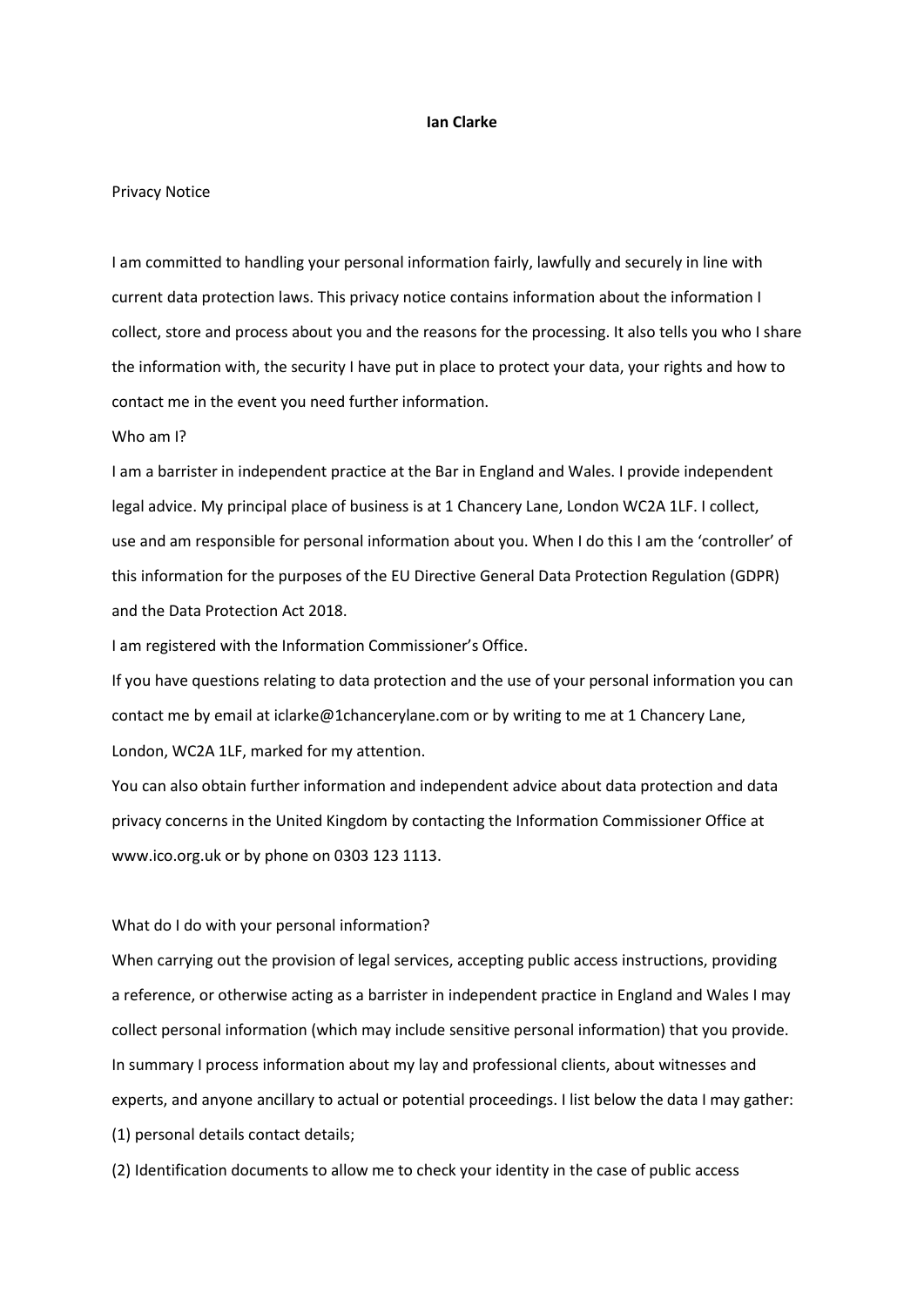## **Ian Clarke**

#### Privacy Notice

I am committed to handling your personal information fairly, lawfully and securely in line with current data protection laws. This privacy notice contains information about the information I collect, store and process about you and the reasons for the processing. It also tells you who I share the information with, the security I have put in place to protect your data, your rights and how to contact me in the event you need further information.

# Who am I?

I am a barrister in independent practice at the Bar in England and Wales. I provide independent legal advice. My principal place of business is at 1 Chancery Lane, London WC2A 1LF. I collect, use and am responsible for personal information about you. When I do this I am the 'controller' of this information for the purposes of the EU Directive General Data Protection Regulation (GDPR) and the Data Protection Act 2018.

I am registered with the Information Commissioner's Office.

If you have questions relating to data protection and the use of your personal information you can contact me by email at iclarke@1chancerylane.com or by writing to me at 1 Chancery Lane, London, WC2A 1LF, marked for my attention.

You can also obtain further information and independent advice about data protection and data privacy concerns in the United Kingdom by contacting the Information Commissioner Office at www.ico.org.uk or by phone on 0303 123 1113.

# What do I do with your personal information?

When carrying out the provision of legal services, accepting public access instructions, providing a reference, or otherwise acting as a barrister in independent practice in England and Wales I may collect personal information (which may include sensitive personal information) that you provide. In summary I process information about my lay and professional clients, about witnesses and experts, and anyone ancillary to actual or potential proceedings. I list below the data I may gather: (1) personal details contact details;

(2) Identification documents to allow me to check your identity in the case of public access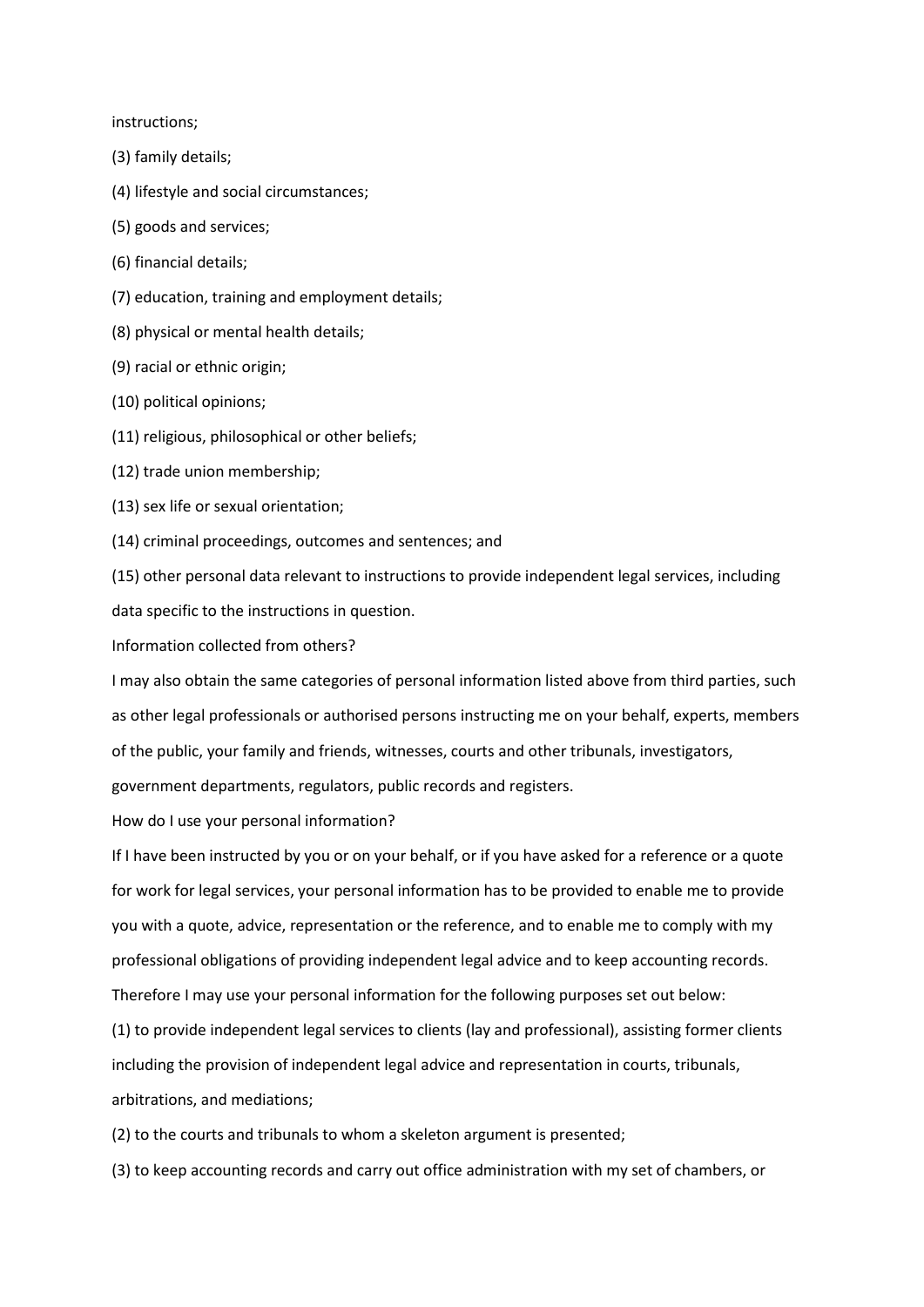instructions;

- (3) family details;
- (4) lifestyle and social circumstances;
- (5) goods and services;
- (6) financial details;
- (7) education, training and employment details;
- (8) physical or mental health details;
- (9) racial or ethnic origin;
- (10) political opinions;
- (11) religious, philosophical or other beliefs;
- (12) trade union membership;
- (13) sex life or sexual orientation;
- (14) criminal proceedings, outcomes and sentences; and

(15) other personal data relevant to instructions to provide independent legal services, including data specific to the instructions in question.

Information collected from others?

I may also obtain the same categories of personal information listed above from third parties, such as other legal professionals or authorised persons instructing me on your behalf, experts, members of the public, your family and friends, witnesses, courts and other tribunals, investigators, government departments, regulators, public records and registers.

How do I use your personal information?

If I have been instructed by you or on your behalf, or if you have asked for a reference or a quote for work for legal services, your personal information has to be provided to enable me to provide you with a quote, advice, representation or the reference, and to enable me to comply with my professional obligations of providing independent legal advice and to keep accounting records. Therefore I may use your personal information for the following purposes set out below:

(1) to provide independent legal services to clients (lay and professional), assisting former clients including the provision of independent legal advice and representation in courts, tribunals, arbitrations, and mediations;

(2) to the courts and tribunals to whom a skeleton argument is presented;

(3) to keep accounting records and carry out office administration with my set of chambers, or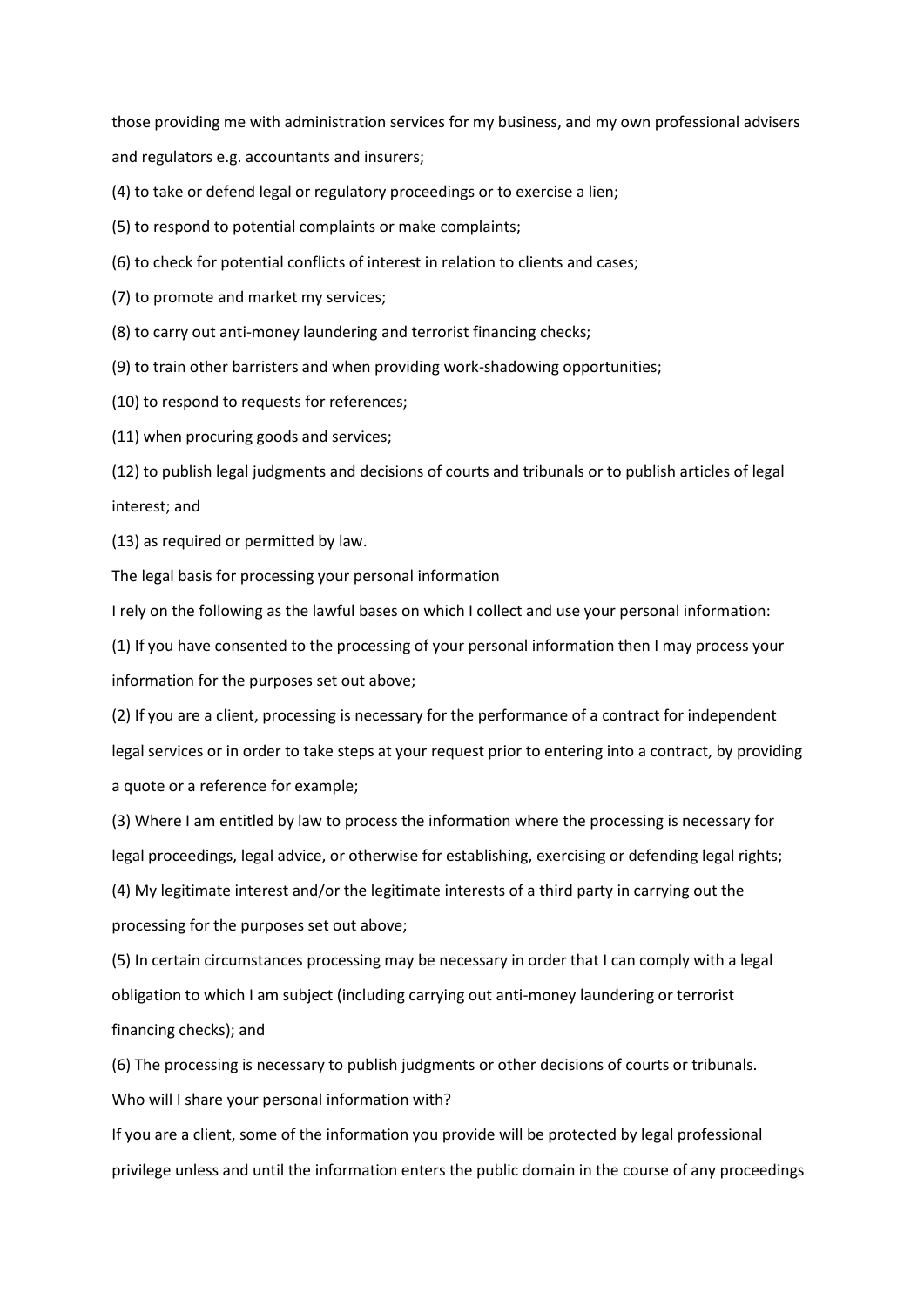those providing me with administration services for my business, and my own professional advisers and regulators e.g. accountants and insurers;

(4) to take or defend legal or regulatory proceedings or to exercise a lien;

(5) to respond to potential complaints or make complaints;

(6) to check for potential conflicts of interest in relation to clients and cases;

(7) to promote and market my services;

(8) to carry out anti-money laundering and terrorist financing checks;

(9) to train other barristers and when providing work-shadowing opportunities;

(10) to respond to requests for references;

(11) when procuring goods and services;

(12) to publish legal judgments and decisions of courts and tribunals or to publish articles of legal interest; and

(13) as required or permitted by law.

The legal basis for processing your personal information

I rely on the following as the lawful bases on which I collect and use your personal information:

(1) If you have consented to the processing of your personal information then I may process your information for the purposes set out above;

(2) If you are a client, processing is necessary for the performance of a contract for independent legal services or in order to take steps at your request prior to entering into a contract, by providing a quote or a reference for example;

(3) Where I am entitled by law to process the information where the processing is necessary for legal proceedings, legal advice, or otherwise for establishing, exercising or defending legal rights;

(4) My legitimate interest and/or the legitimate interests of a third party in carrying out the processing for the purposes set out above;

(5) In certain circumstances processing may be necessary in order that I can comply with a legal obligation to which I am subject (including carrying out anti-money laundering or terrorist financing checks); and

(6) The processing is necessary to publish judgments or other decisions of courts or tribunals. Who will I share your personal information with?

If you are a client, some of the information you provide will be protected by legal professional privilege unless and until the information enters the public domain in the course of any proceedings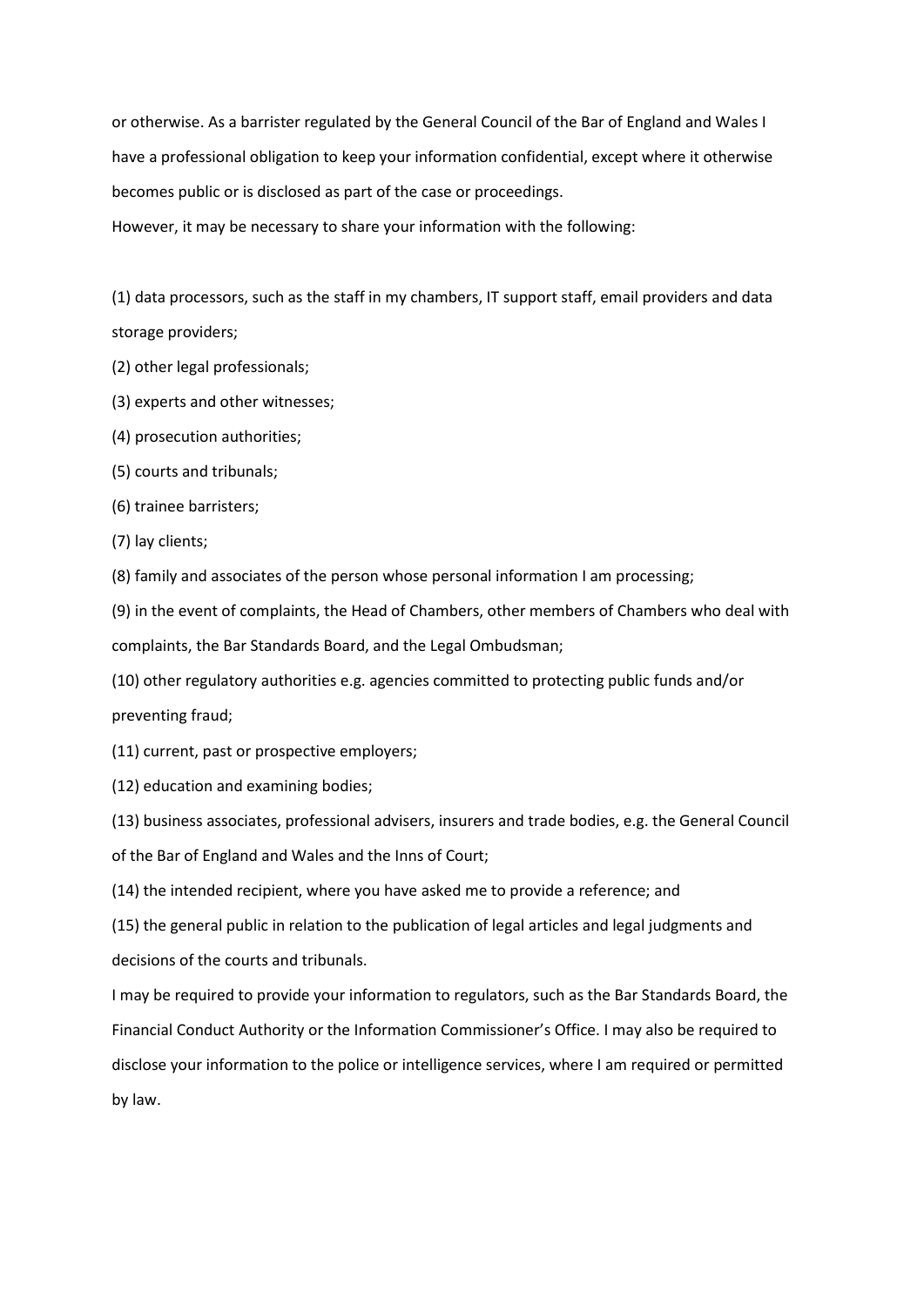or otherwise. As a barrister regulated by the General Council of the Bar of England and Wales I have a professional obligation to keep your information confidential, except where it otherwise becomes public or is disclosed as part of the case or proceedings.

However, it may be necessary to share your information with the following:

(1) data processors, such as the staff in my chambers, IT support staff, email providers and data storage providers;

- (2) other legal professionals;
- (3) experts and other witnesses;
- (4) prosecution authorities;
- (5) courts and tribunals;
- (6) trainee barristers;
- (7) lay clients;

(8) family and associates of the person whose personal information I am processing;

(9) in the event of complaints, the Head of Chambers, other members of Chambers who deal with complaints, the Bar Standards Board, and the Legal Ombudsman;

(10) other regulatory authorities e.g. agencies committed to protecting public funds and/or preventing fraud;

(11) current, past or prospective employers;

(12) education and examining bodies;

(13) business associates, professional advisers, insurers and trade bodies, e.g. the General Council of the Bar of England and Wales and the Inns of Court;

(14) the intended recipient, where you have asked me to provide a reference; and

(15) the general public in relation to the publication of legal articles and legal judgments and decisions of the courts and tribunals.

I may be required to provide your information to regulators, such as the Bar Standards Board, the Financial Conduct Authority or the Information Commissioner's Office. I may also be required to disclose your information to the police or intelligence services, where I am required or permitted by law.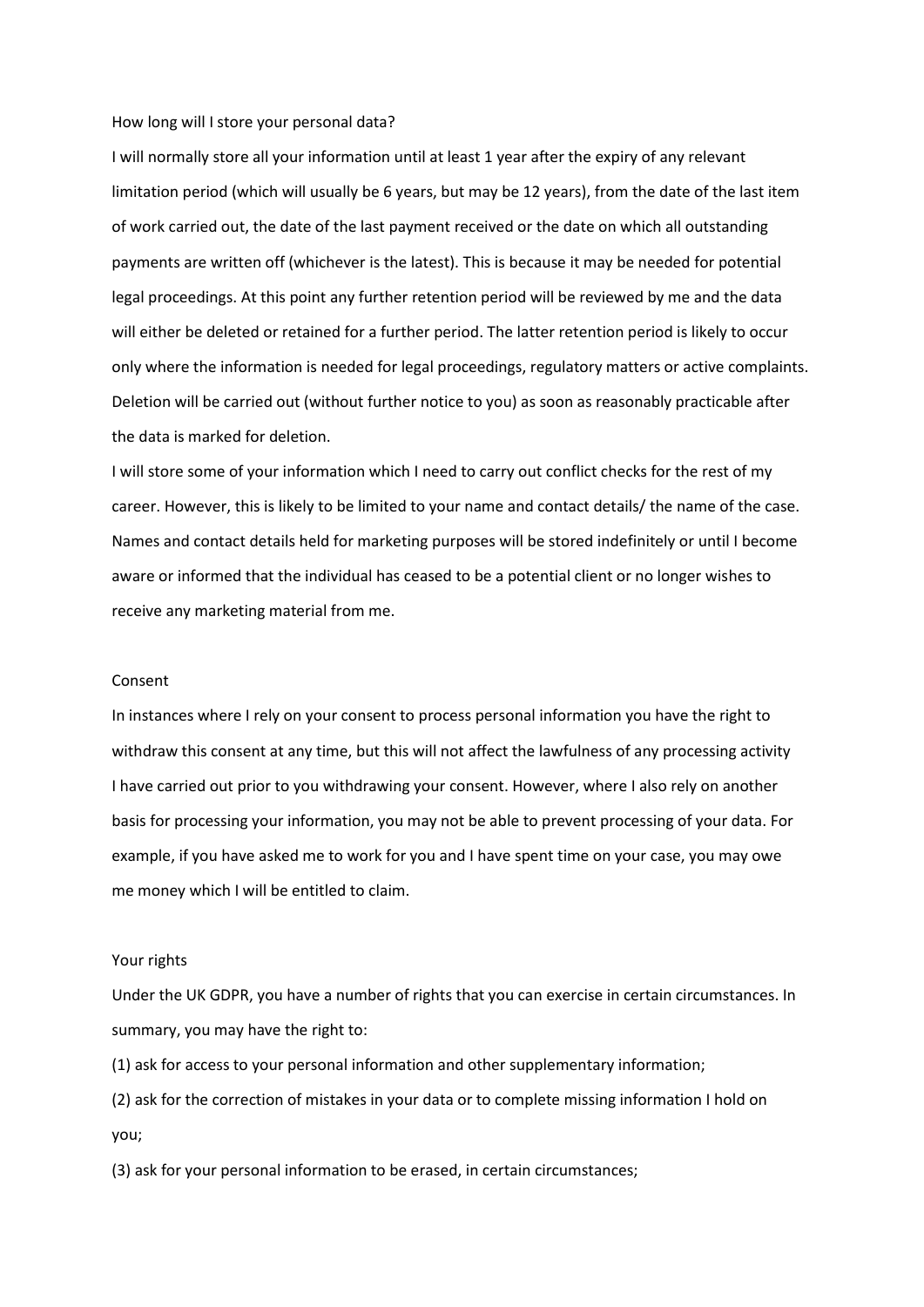#### How long will I store your personal data?

I will normally store all your information until at least 1 year after the expiry of any relevant limitation period (which will usually be 6 years, but may be 12 years), from the date of the last item of work carried out, the date of the last payment received or the date on which all outstanding payments are written off (whichever is the latest). This is because it may be needed for potential legal proceedings. At this point any further retention period will be reviewed by me and the data will either be deleted or retained for a further period. The latter retention period is likely to occur only where the information is needed for legal proceedings, regulatory matters or active complaints. Deletion will be carried out (without further notice to you) as soon as reasonably practicable after the data is marked for deletion.

I will store some of your information which I need to carry out conflict checks for the rest of my career. However, this is likely to be limited to your name and contact details/ the name of the case. Names and contact details held for marketing purposes will be stored indefinitely or until I become aware or informed that the individual has ceased to be a potential client or no longer wishes to receive any marketing material from me.

## Consent

In instances where I rely on your consent to process personal information you have the right to withdraw this consent at any time, but this will not affect the lawfulness of any processing activity I have carried out prior to you withdrawing your consent. However, where I also rely on another basis for processing your information, you may not be able to prevent processing of your data. For example, if you have asked me to work for you and I have spent time on your case, you may owe me money which I will be entitled to claim.

## Your rights

Under the UK GDPR, you have a number of rights that you can exercise in certain circumstances. In summary, you may have the right to:

(1) ask for access to your personal information and other supplementary information;

(2) ask for the correction of mistakes in your data or to complete missing information I hold on you;

(3) ask for your personal information to be erased, in certain circumstances;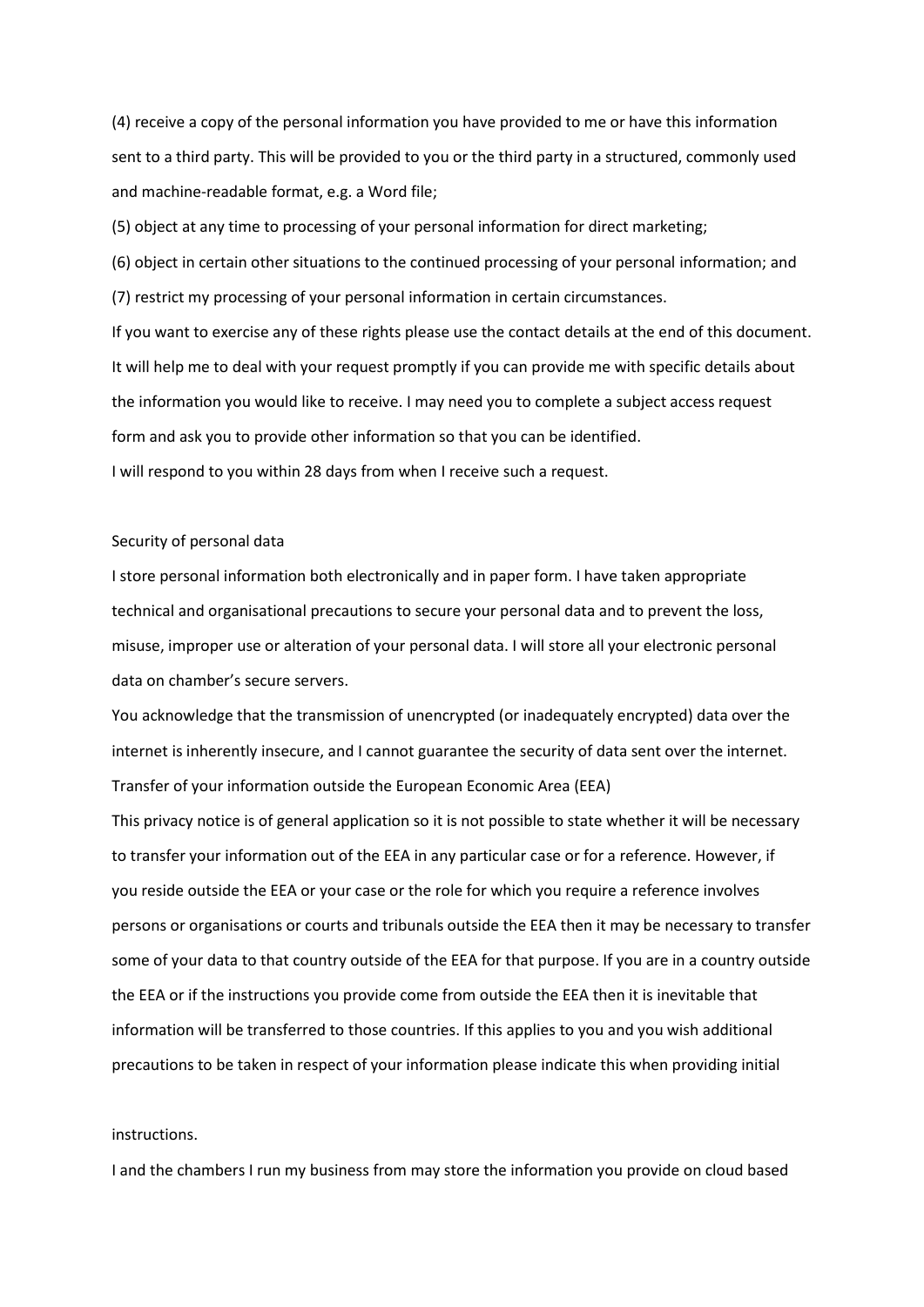(4) receive a copy of the personal information you have provided to me or have this information sent to a third party. This will be provided to you or the third party in a structured, commonly used and machine-readable format, e.g. a Word file;

(5) object at any time to processing of your personal information for direct marketing;

(6) object in certain other situations to the continued processing of your personal information; and (7) restrict my processing of your personal information in certain circumstances.

If you want to exercise any of these rights please use the contact details at the end of this document. It will help me to deal with your request promptly if you can provide me with specific details about the information you would like to receive. I may need you to complete a subject access request form and ask you to provide other information so that you can be identified. I will respond to you within 28 days from when I receive such a request.

# Security of personal data

I store personal information both electronically and in paper form. I have taken appropriate technical and organisational precautions to secure your personal data and to prevent the loss, misuse, improper use or alteration of your personal data. I will store all your electronic personal data on chamber's secure servers.

You acknowledge that the transmission of unencrypted (or inadequately encrypted) data over the internet is inherently insecure, and I cannot guarantee the security of data sent over the internet. Transfer of your information outside the European Economic Area (EEA)

This privacy notice is of general application so it is not possible to state whether it will be necessary to transfer your information out of the EEA in any particular case or for a reference. However, if you reside outside the EEA or your case or the role for which you require a reference involves persons or organisations or courts and tribunals outside the EEA then it may be necessary to transfer some of your data to that country outside of the EEA for that purpose. If you are in a country outside the EEA or if the instructions you provide come from outside the EEA then it is inevitable that information will be transferred to those countries. If this applies to you and you wish additional precautions to be taken in respect of your information please indicate this when providing initial

## instructions.

I and the chambers I run my business from may store the information you provide on cloud based